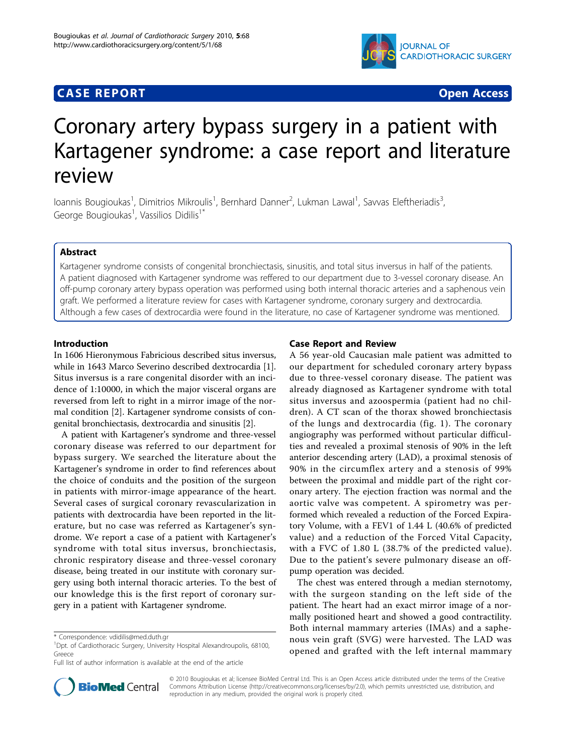## **CASE REPORT CASE REPORT**



# Coronary artery bypass surgery in a patient with Kartagener syndrome: a case report and literature review

loannis Bougioukas<sup>1</sup>, Dimitrios Mikroulis<sup>1</sup>, Bernhard Danner<sup>2</sup>, Lukman Lawal<sup>1</sup>, Savvas Eleftheriadis<sup>3</sup> , George Bougioukas<sup>1</sup>, Vassilios Didilis<sup>1\*</sup>

### Abstract

Kartagener syndrome consists of congenital bronchiectasis, sinusitis, and total situs inversus in half of the patients. A patient diagnosed with Kartagener syndrome was reffered to our department due to 3-vessel coronary disease. An off-pump coronary artery bypass operation was performed using both internal thoracic arteries and a saphenous vein graft. We performed a literature review for cases with Kartagener syndrome, coronary surgery and dextrocardia. Although a few cases of dextrocardia were found in the literature, no case of Kartagener syndrome was mentioned.

#### Introduction

In 1606 Hieronymous Fabricious described situs inversus, while in 1643 Marco Severino described dextrocardia [\[1](#page-2-0)]. Situs inversus is a rare congenital disorder with an incidence of 1:10000, in which the major visceral organs are reversed from left to right in a mirror image of the normal condition [\[2](#page-2-0)]. Kartagener syndrome consists of congenital bronchiectasis, dextrocardia and sinusitis [[2\]](#page-2-0).

A patient with Kartagener's syndrome and three-vessel coronary disease was referred to our department for bypass surgery. We searched the literature about the Kartagener's syndrome in order to find references about the choice of conduits and the position of the surgeon in patients with mirror-image appearance of the heart. Several cases of surgical coronary revascularization in patients with dextrocardia have been reported in the literature, but no case was referred as Kartagener's syndrome. We report a case of a patient with Kartagener's syndrome with total situs inversus, bronchiectasis, chronic respiratory disease and three-vessel coronary disease, being treated in our institute with coronary surgery using both internal thoracic arteries. To the best of our knowledge this is the first report of coronary surgery in a patient with Kartagener syndrome.



A 56 year-old Caucasian male patient was admitted to our department for scheduled coronary artery bypass due to three-vessel coronary disease. The patient was already diagnosed as Kartagener syndrome with total situs inversus and azoospermia (patient had no children). A CT scan of the thorax showed bronchiectasis of the lungs and dextrocardia (fig. [1\)](#page-1-0). The coronary angiography was performed without particular difficulties and revealed a proximal stenosis of 90% in the left anterior descending artery (LAD), a proximal stenosis of 90% in the circumflex artery and a stenosis of 99% between the proximal and middle part of the right coronary artery. The ejection fraction was normal and the aortic valve was competent. A spirometry was performed which revealed a reduction of the Forced Expiratory Volume, with a FEV1 of 1.44 L (40.6% of predicted value) and a reduction of the Forced Vital Capacity, with a FVC of 1.80 L (38.7% of the predicted value). Due to the patient's severe pulmonary disease an offpump operation was decided.

The chest was entered through a median sternotomy, with the surgeon standing on the left side of the patient. The heart had an exact mirror image of a normally positioned heart and showed a good contractility. Both internal mammary arteries (IMAs) and a saphenous vein graft (SVG) were harvested. The LAD was opened and grafted with the left internal mammary



© 2010 Bougioukas et al; licensee BioMed Central Ltd. This is an Open Access article distributed under the terms of the Creative Commons Attribution License [\(http://creativecommons.org/licenses/by/2.0](http://creativecommons.org/licenses/by/2.0)), which permits unrestricted use, distribution, and reproduction in any medium, provided the original work is properly cited.

<sup>\*</sup> Correspondence: [vdidilis@med.duth.gr](mailto:vdidilis@med.duth.gr)

<sup>&</sup>lt;sup>1</sup>Dpt. of Cardiothoracic Surgery, University Hospital Alexandroupolis, 68100, Greece

Full list of author information is available at the end of the article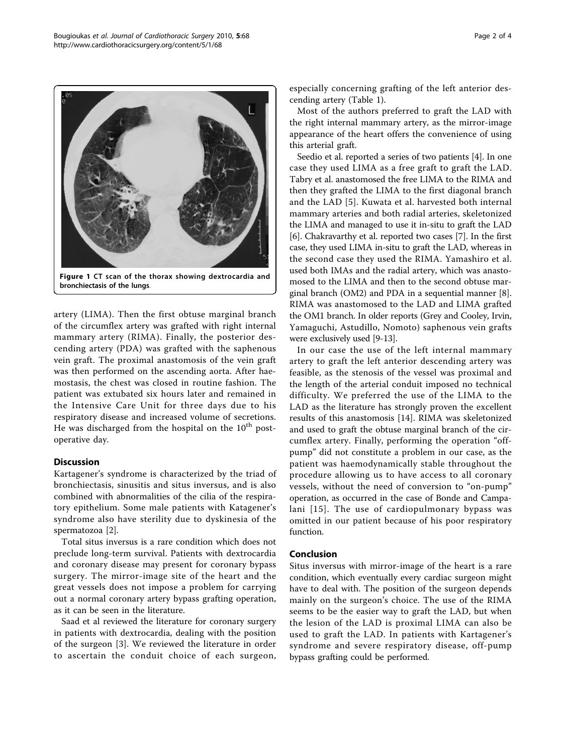<span id="page-1-0"></span>

artery (LIMA). Then the first obtuse marginal branch of the circumflex artery was grafted with right internal mammary artery (RIMA). Finally, the posterior descending artery (PDA) was grafted with the saphenous vein graft. The proximal anastomosis of the vein graft was then performed on the ascending aorta. After haemostasis, the chest was closed in routine fashion. The patient was extubated six hours later and remained in the Intensive Care Unit for three days due to his respiratory disease and increased volume of secretions. He was discharged from the hospital on the  $10<sup>th</sup>$  postoperative day.

#### **Discussion**

Kartagener's syndrome is characterized by the triad of bronchiectasis, sinusitis and situs inversus, and is also combined with abnormalities of the cilia of the respiratory epithelium. Some male patients with Katagener's syndrome also have sterility due to dyskinesia of the spermatozoa [[2](#page-2-0)].

Total situs inversus is a rare condition which does not preclude long-term survival. Patients with dextrocardia and coronary disease may present for coronary bypass surgery. The mirror-image site of the heart and the great vessels does not impose a problem for carrying out a normal coronary artery bypass grafting operation, as it can be seen in the literature.

Saad et al reviewed the literature for coronary surgery in patients with dextrocardia, dealing with the position of the surgeon [[3](#page-2-0)]. We reviewed the literature in order to ascertain the conduit choice of each surgeon,

especially concerning grafting of the left anterior descending artery (Table [1\)](#page-2-0).

Most of the authors preferred to graft the LAD with the right internal mammary artery, as the mirror-image appearance of the heart offers the convenience of using this arterial graft.

Seedio et al. reported a series of two patients [[4](#page-2-0)]. In one case they used LIMA as a free graft to graft the LAD. Tabry et al. anastomosed the free LIMA to the RIMA and then they grafted the LIMA to the first diagonal branch and the LAD [[5\]](#page-2-0). Kuwata et al. harvested both internal mammary arteries and both radial arteries, skeletonized the LIMA and managed to use it in-situ to graft the LAD [[6\]](#page-2-0). Chakravarthy et al. reported two cases [\[7](#page-2-0)]. In the first case, they used LIMA in-situ to graft the LAD, whereas in the second case they used the RIMA. Yamashiro et al. used both IMAs and the radial artery, which was anastomosed to the LIMA and then to the second obtuse marginal branch (OM2) and PDA in a sequential manner [\[8](#page-2-0)]. RIMA was anastomosed to the LAD and LIMA grafted the OM1 branch. In older reports (Grey and Cooley, Irvin, Yamaguchi, Astudillo, Nomoto) saphenous vein grafts were exclusively used [\[9](#page-3-0)-[13](#page-3-0)].

In our case the use of the left internal mammary artery to graft the left anterior descending artery was feasible, as the stenosis of the vessel was proximal and the length of the arterial conduit imposed no technical difficulty. We preferred the use of the LIMA to the LAD as the literature has strongly proven the excellent results of this anastomosis [[14\]](#page-3-0). RIMA was skeletonized and used to graft the obtuse marginal branch of the circumflex artery. Finally, performing the operation "offpump" did not constitute a problem in our case, as the patient was haemodynamically stable throughout the procedure allowing us to have access to all coronary vessels, without the need of conversion to "on-pump" operation, as occurred in the case of Bonde and Campalani [[15\]](#page-3-0). The use of cardiopulmonary bypass was omitted in our patient because of his poor respiratory function.

#### Conclusion

Situs inversus with mirror-image of the heart is a rare condition, which eventually every cardiac surgeon might have to deal with. The position of the surgeon depends mainly on the surgeon's choice. The use of the RIMA seems to be the easier way to graft the LAD, but when the lesion of the LAD is proximal LIMA can also be used to graft the LAD. In patients with Kartagener's syndrome and severe respiratory disease, off-pump bypass grafting could be performed.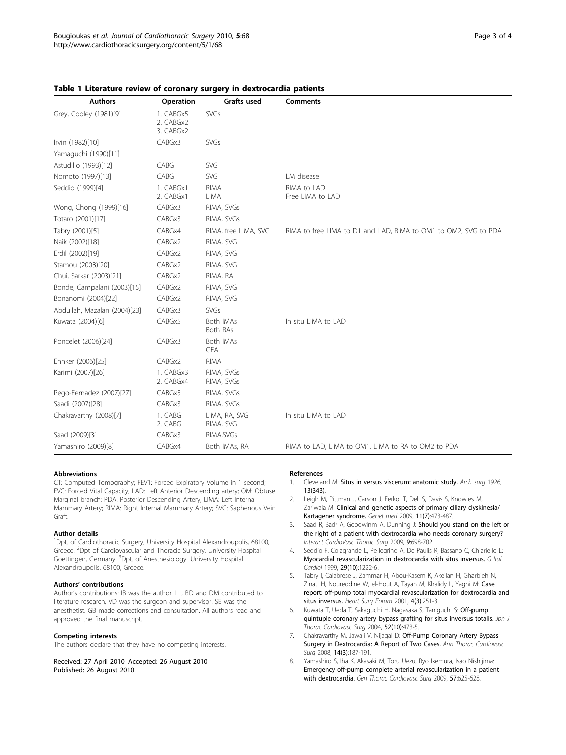| <b>Authors</b>               | Operation                           | Grafts used                  | <b>Comments</b>                                                 |
|------------------------------|-------------------------------------|------------------------------|-----------------------------------------------------------------|
| Grey, Cooley (1981)[9]       | 1. CABGx5<br>2. CABGx2<br>3. CABGx2 | <b>SVGs</b>                  |                                                                 |
| Irvin (1982)[10]             | CABGx3                              | <b>SVGs</b>                  |                                                                 |
| Yamaguchi (1990)[11]         |                                     |                              |                                                                 |
| Astudillo (1993)[12]         | CABG                                | SVG                          |                                                                 |
| Nomoto (1997)[13]            | CABG                                | SVG                          | LM disease                                                      |
| Seddio (1999)[4]             | 1. CABGx1<br>2. CABGx1              | <b>RIMA</b><br>LIMA          | RIMA to LAD<br>Free LIMA to LAD                                 |
| Wong, Chong (1999)[16]       | CABGx3                              | RIMA, SVGs                   |                                                                 |
| Totaro (2001)[17]            | CABGx3                              | RIMA, SVGs                   |                                                                 |
| Tabry (2001)[5]              | CABGx4                              | RIMA, free LIMA, SVG         | RIMA to free LIMA to D1 and LAD, RIMA to OM1 to OM2, SVG to PDA |
| Naik (2002)[18]              | CABGx2                              | RIMA, SVG                    |                                                                 |
| Erdil (2002)[19]             | CABGx2                              | RIMA, SVG                    |                                                                 |
| Stamou (2003)[20]            | CABGx2                              | RIMA, SVG                    |                                                                 |
| Chui, Sarkar (2003)[21]      | CABGx2                              | RIMA, RA                     |                                                                 |
| Bonde, Campalani (2003)[15]  | CABGx2                              | RIMA, SVG                    |                                                                 |
| Bonanomi (2004)[22]          | CABGx2                              | RIMA, SVG                    |                                                                 |
| Abdullah, Mazalan (2004)[23] | CABGx3                              | <b>SVGs</b>                  |                                                                 |
| Kuwata (2004)[6]             | CABGx5                              | <b>Both IMAs</b><br>Both RAs | In situ LIMA to LAD                                             |
| Poncelet (2006)[24]          | CABGx3                              | Both IMAs<br><b>GEA</b>      |                                                                 |
| Ennker (2006)[25]            | CABGx2                              | <b>RIMA</b>                  |                                                                 |
| Karimi (2007)[26]            | 1. CABGx3<br>2. CABGx4              | RIMA, SVGs<br>RIMA, SVGs     |                                                                 |
| Pego-Fernadez (2007)[27]     | CABGx5                              | RIMA, SVGs                   |                                                                 |
| Saadi (2007)[28]             | CABGx3                              | RIMA, SVGs                   |                                                                 |
| Chakravarthy (2008)[7]       | 1. CABG<br>2. CABG                  | LIMA, RA, SVG<br>RIMA, SVG   | In situ LIMA to LAD                                             |
| Saad (2009)[3]               | CABGx3                              | RIMA, SVGs                   |                                                                 |
| Yamashiro (2009)[8]          | CABGx4                              | Both IMAs, RA                | RIMA to LAD, LIMA to OM1, LIMA to RA to OM2 to PDA              |

#### <span id="page-2-0"></span>Table 1 Literature review of coronary surgery in dextrocardia patients

#### Abbreviations

CT: Computed Tomography; FEV1: Forced Expiratory Volume in 1 second; FVC: Forced Vital Capacity; LAD: Left Anterior Descending artery; OM: Obtuse Marginal branch; PDA: Posterior Descending Artery; LIMA: Left Internal Mammary Artery; RIMA: Right Internal Mammary Artery; SVG: Saphenous Vein Graft.

#### Author details

<sup>1</sup>Dpt. of Cardiothoracic Surgery, University Hospital Alexandroupolis, 68100, Greece. <sup>2</sup>Dpt of Cardiovascular and Thoracic Surgery, University Hospital Goettingen, Germany. <sup>3</sup>Dpt. of Anesthesiology. University Hospital Alexandroupolis, 68100, Greece.

#### Authors' contributions

Author's contributions: IB was the author. LL, BD and DM contributed to literature research. VD was the surgeon and supervisor. SE was the anesthetist. GB made corrections and consultation. All authors read and approved the final manuscript.

#### Competing interests

The authors declare that they have no competing interests.

Received: 27 April 2010 Accepted: 26 August 2010 Published: 26 August 2010

#### References

- 1. Cleveland M: Situs in versus viscerum: anatomic study. Arch surg 1926, 13(343).
- 2. Leigh M, Pittman J, Carson J, Ferkol T, Dell S, Davis S, Knowles M, Zariwala M: [Clinical and genetic aspects of primary ciliary dyskinesia/](http://www.ncbi.nlm.nih.gov/pubmed/19606528?dopt=Abstract) [Kartagener syndrome.](http://www.ncbi.nlm.nih.gov/pubmed/19606528?dopt=Abstract) Genet med 2009, 11(7):473-487.
- 3. Saad R, Badr A, Goodwinm A, Dunning J: [Should you stand on the left or](http://www.ncbi.nlm.nih.gov/pubmed/19638356?dopt=Abstract) [the right of a patient with dextrocardia who needs coronary surgery?](http://www.ncbi.nlm.nih.gov/pubmed/19638356?dopt=Abstract) Interact CardioVasc Thorac Surg 2009, 9:698-702.
- 4. Seddio F, Colagrande L, Pellegrino A, De Paulis R, Bassano C, Chiariello L: [Myocardial revascularization in dextrocardia with situs inversus.](http://www.ncbi.nlm.nih.gov/pubmed/10546139?dopt=Abstract) G Ital Cardiol 1999, 29(10):1222-6.
- 5. Tabry I, Calabrese J, Zammar H, Abou-Kasem K, Akeilan H, Gharbieh N, Zinati H, Noureddine W, el-Hout A, Tayah M, Khalidy L, Yaghi M: [Case](http://www.ncbi.nlm.nih.gov/pubmed/11673147?dopt=Abstract) [report: off-pump total myocardial revascularization for dextrocardia and](http://www.ncbi.nlm.nih.gov/pubmed/11673147?dopt=Abstract) [situs inversus.](http://www.ncbi.nlm.nih.gov/pubmed/11673147?dopt=Abstract) Heart Surg Forum 2001, 4(3):251-3.
- 6. Kuwata T, Ueda T, Sakaguchi H, Nagasaka S, Taniguchi S: [Off-pump](http://www.ncbi.nlm.nih.gov/pubmed/15552972?dopt=Abstract) [quintuple coronary artery bypass grafting for situs inversus totalis.](http://www.ncbi.nlm.nih.gov/pubmed/15552972?dopt=Abstract) Jpn J Thorac Cardiovasc Surg 2004, 52(10):473-5.
- 7. Chakravarthy M, Jawali V, Nijagal D: [Off-Pump Coronary Artery Bypass](http://www.ncbi.nlm.nih.gov/pubmed/18577901?dopt=Abstract) [Surgery in Dextrocardia: A Report of Two Cases.](http://www.ncbi.nlm.nih.gov/pubmed/18577901?dopt=Abstract) Ann Thorac Cardiovasc Surg 2008, 14(3):187-191.
- 8. Yamashiro S, Iha K, Akasaki M, Toru Uezu, Ryo Ikemura, Isao Nishijima: [Emergency off-pump complete arterial revascularization in a patient](http://www.ncbi.nlm.nih.gov/pubmed/19908120?dopt=Abstract) [with dextrocardia.](http://www.ncbi.nlm.nih.gov/pubmed/19908120?dopt=Abstract) Gen Thorac Cardiovasc Surg 2009, 57:625-628.